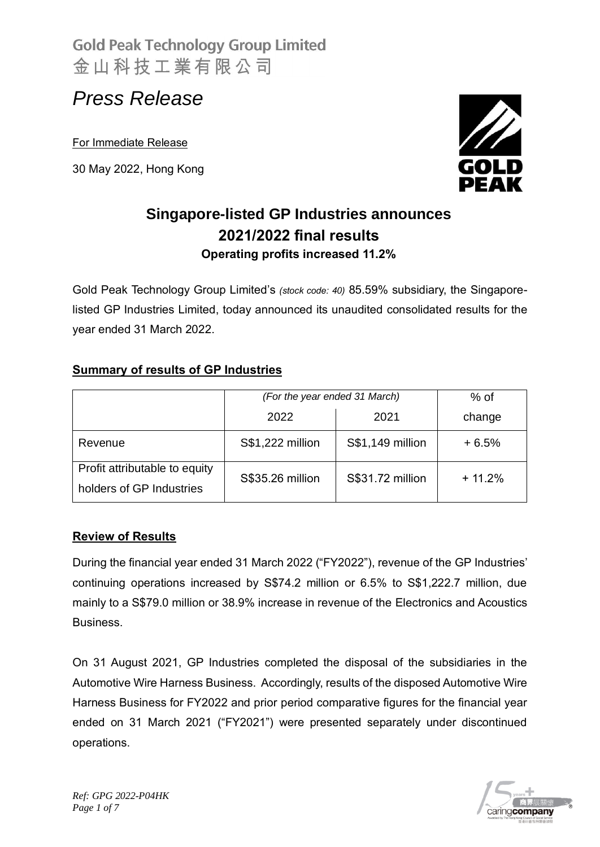# *Press Release*

For Immediate Release

30 May 2022, Hong Kong



### **Singapore-listed GP Industries announces 2021/2022 final results Operating profits increased 11.2%**

Gold Peak Technology Group Limited's *(stock code: 40)* 85.59% subsidiary, the Singaporelisted GP Industries Limited, today announced its unaudited consolidated results for the year ended 31 March 2022.

### **Summary of results of GP Industries**

|                                                           | (For the year ended 31 March) |                  | $%$ of   |
|-----------------------------------------------------------|-------------------------------|------------------|----------|
|                                                           | 2022                          | 2021             | change   |
| Revenue                                                   | S\$1,222 million              | S\$1,149 million | $+6.5%$  |
| Profit attributable to equity<br>holders of GP Industries | S\$35.26 million              | S\$31.72 million | $+11.2%$ |

#### **Review of Results**

During the financial year ended 31 March 2022 ("FY2022"), revenue of the GP Industries' continuing operations increased by S\$74.2 million or 6.5% to S\$1,222.7 million, due mainly to a S\$79.0 million or 38.9% increase in revenue of the Electronics and Acoustics Business.

On 31 August 2021, GP Industries completed the disposal of the subsidiaries in the Automotive Wire Harness Business. Accordingly, results of the disposed Automotive Wire Harness Business for FY2022 and prior period comparative figures for the financial year ended on 31 March 2021 ("FY2021") were presented separately under discontinued operations.

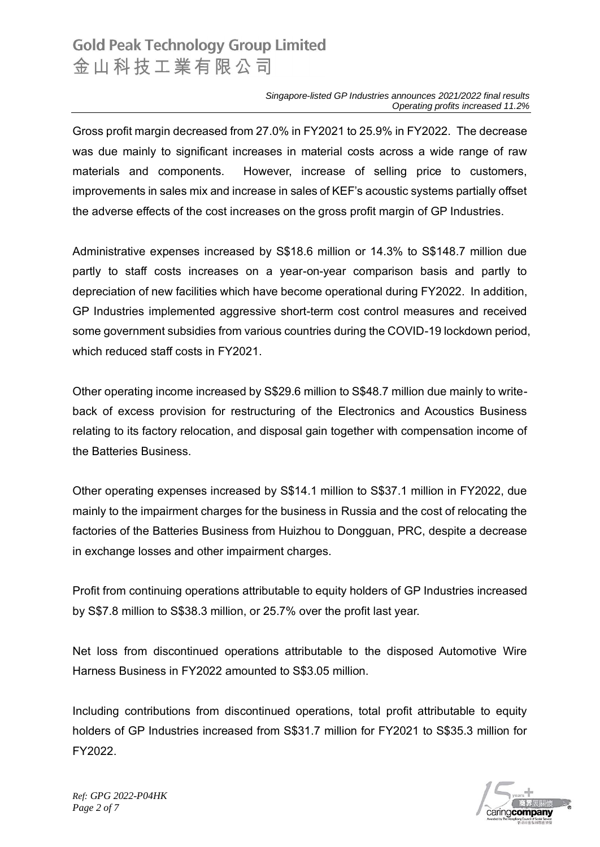*Singapore-listed GP Industries announces 2021/2022 final results Operating profits increased 11.2%*

Gross profit margin decreased from 27.0% in FY2021 to 25.9% in FY2022. The decrease was due mainly to significant increases in material costs across a wide range of raw materials and components. However, increase of selling price to customers, improvements in sales mix and increase in sales of KEF's acoustic systems partially offset the adverse effects of the cost increases on the gross profit margin of GP Industries.

Administrative expenses increased by S\$18.6 million or 14.3% to S\$148.7 million due partly to staff costs increases on a year-on-year comparison basis and partly to depreciation of new facilities which have become operational during FY2022. In addition, GP Industries implemented aggressive short-term cost control measures and received some government subsidies from various countries during the COVID-19 lockdown period, which reduced staff costs in FY2021.

Other operating income increased by S\$29.6 million to S\$48.7 million due mainly to writeback of excess provision for restructuring of the Electronics and Acoustics Business relating to its factory relocation, and disposal gain together with compensation income of the Batteries Business.

Other operating expenses increased by S\$14.1 million to S\$37.1 million in FY2022, due mainly to the impairment charges for the business in Russia and the cost of relocating the factories of the Batteries Business from Huizhou to Dongguan, PRC, despite a decrease in exchange losses and other impairment charges.

Profit from continuing operations attributable to equity holders of GP Industries increased by S\$7.8 million to S\$38.3 million, or 25.7% over the profit last year.

Net loss from discontinued operations attributable to the disposed Automotive Wire Harness Business in FY2022 amounted to S\$3.05 million.

Including contributions from discontinued operations, total profit attributable to equity holders of GP Industries increased from S\$31.7 million for FY2021 to S\$35.3 million for FY2022.



*Ref: GPG 2022-P04HK Page 2 of 7*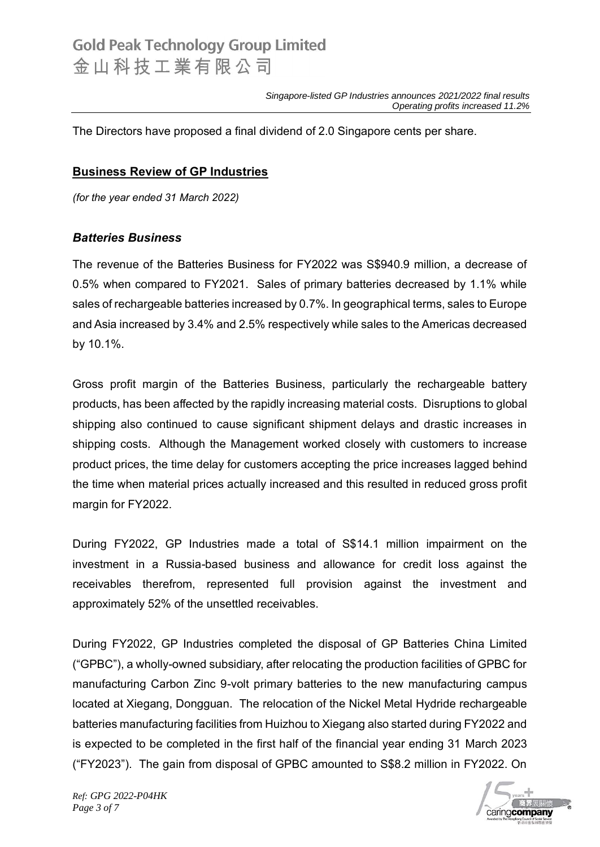The Directors have proposed a final dividend of 2.0 Singapore cents per share.

#### **Business Review of GP Industries**

*(for the year ended 31 March 2022)*

#### *Batteries Business*

The revenue of the Batteries Business for FY2022 was S\$940.9 million, a decrease of 0.5% when compared to FY2021. Sales of primary batteries decreased by 1.1% while sales of rechargeable batteries increased by 0.7%. In geographical terms, sales to Europe and Asia increased by 3.4% and 2.5% respectively while sales to the Americas decreased by 10.1%.

Gross profit margin of the Batteries Business, particularly the rechargeable battery products, has been affected by the rapidly increasing material costs. Disruptions to global shipping also continued to cause significant shipment delays and drastic increases in shipping costs. Although the Management worked closely with customers to increase product prices, the time delay for customers accepting the price increases lagged behind the time when material prices actually increased and this resulted in reduced gross profit margin for FY2022.

During FY2022, GP Industries made a total of S\$14.1 million impairment on the investment in a Russia-based business and allowance for credit loss against the receivables therefrom, represented full provision against the investment and approximately 52% of the unsettled receivables.

During FY2022, GP Industries completed the disposal of GP Batteries China Limited ("GPBC"), a wholly-owned subsidiary, after relocating the production facilities of GPBC for manufacturing Carbon Zinc 9-volt primary batteries to the new manufacturing campus located at Xiegang, Dongguan. The relocation of the Nickel Metal Hydride rechargeable batteries manufacturing facilities from Huizhou to Xiegang also started during FY2022 and is expected to be completed in the first half of the financial year ending 31 March 2023 ("FY2023"). The gain from disposal of GPBC amounted to S\$8.2 million in FY2022. On



*Ref: GPG 2022-P04HK Page 3 of 7*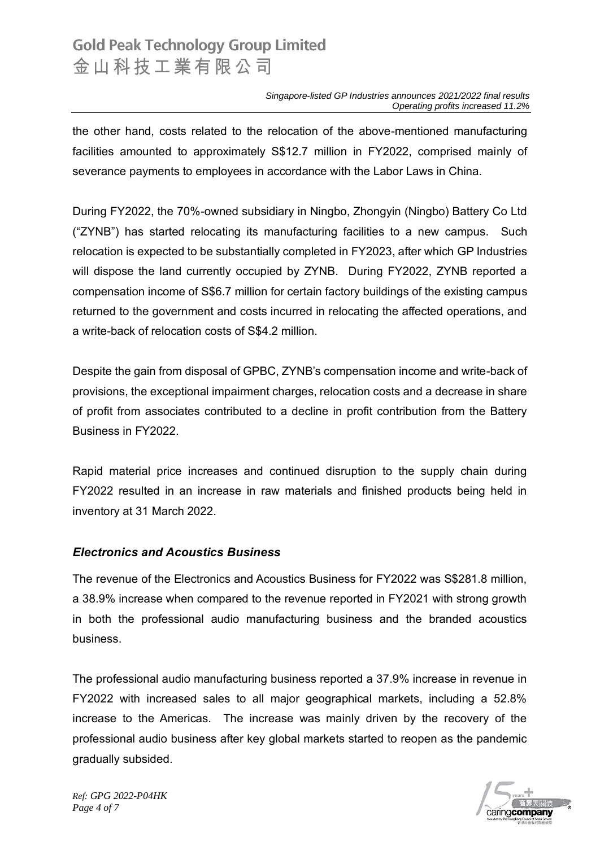the other hand, costs related to the relocation of the above-mentioned manufacturing facilities amounted to approximately S\$12.7 million in FY2022, comprised mainly of severance payments to employees in accordance with the Labor Laws in China.

During FY2022, the 70%-owned subsidiary in Ningbo, Zhongyin (Ningbo) Battery Co Ltd ("ZYNB") has started relocating its manufacturing facilities to a new campus. Such relocation is expected to be substantially completed in FY2023, after which GP Industries will dispose the land currently occupied by ZYNB. During FY2022, ZYNB reported a compensation income of S\$6.7 million for certain factory buildings of the existing campus returned to the government and costs incurred in relocating the affected operations, and a write-back of relocation costs of S\$4.2 million.

Despite the gain from disposal of GPBC, ZYNB's compensation income and write-back of provisions, the exceptional impairment charges, relocation costs and a decrease in share of profit from associates contributed to a decline in profit contribution from the Battery Business in FY2022.

Rapid material price increases and continued disruption to the supply chain during FY2022 resulted in an increase in raw materials and finished products being held in inventory at 31 March 2022.

#### *Electronics and Acoustics Business*

The revenue of the Electronics and Acoustics Business for FY2022 was S\$281.8 million, a 38.9% increase when compared to the revenue reported in FY2021 with strong growth in both the professional audio manufacturing business and the branded acoustics business.

The professional audio manufacturing business reported a 37.9% increase in revenue in FY2022 with increased sales to all major geographical markets, including a 52.8% increase to the Americas. The increase was mainly driven by the recovery of the professional audio business after key global markets started to reopen as the pandemic gradually subsided.



*Ref: GPG 2022-P04HK Page 4 of 7*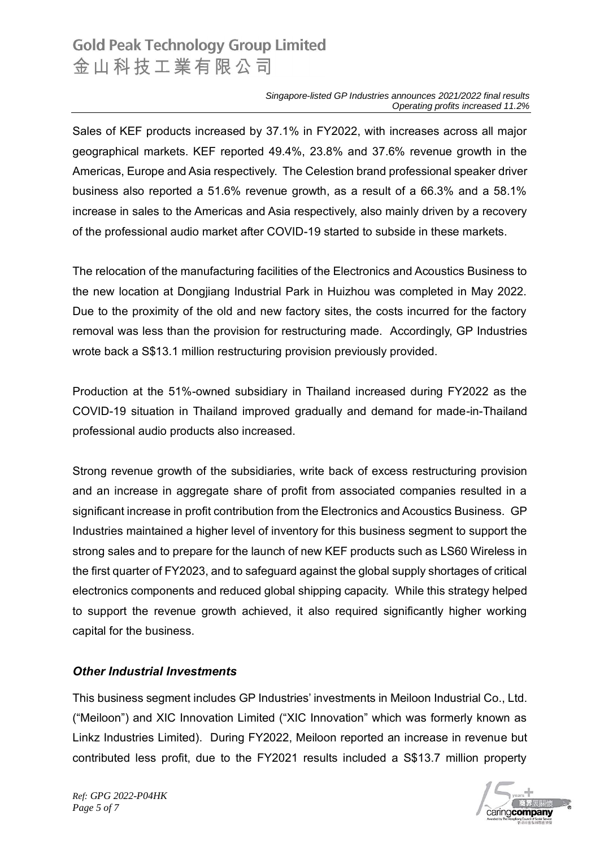Sales of KEF products increased by 37.1% in FY2022, with increases across all major geographical markets. KEF reported 49.4%, 23.8% and 37.6% revenue growth in the Americas, Europe and Asia respectively. The Celestion brand professional speaker driver business also reported a 51.6% revenue growth, as a result of a 66.3% and a 58.1% increase in sales to the Americas and Asia respectively, also mainly driven by a recovery of the professional audio market after COVID-19 started to subside in these markets.

The relocation of the manufacturing facilities of the Electronics and Acoustics Business to the new location at Dongjiang Industrial Park in Huizhou was completed in May 2022. Due to the proximity of the old and new factory sites, the costs incurred for the factory removal was less than the provision for restructuring made. Accordingly, GP Industries wrote back a S\$13.1 million restructuring provision previously provided.

Production at the 51%-owned subsidiary in Thailand increased during FY2022 as the COVID-19 situation in Thailand improved gradually and demand for made-in-Thailand professional audio products also increased.

Strong revenue growth of the subsidiaries, write back of excess restructuring provision and an increase in aggregate share of profit from associated companies resulted in a significant increase in profit contribution from the Electronics and Acoustics Business. GP Industries maintained a higher level of inventory for this business segment to support the strong sales and to prepare for the launch of new KEF products such as LS60 Wireless in the first quarter of FY2023, and to safeguard against the global supply shortages of critical electronics components and reduced global shipping capacity. While this strategy helped to support the revenue growth achieved, it also required significantly higher working capital for the business.

#### *Other Industrial Investments*

This business segment includes GP Industries' investments in Meiloon Industrial Co., Ltd. ("Meiloon") and XIC Innovation Limited ("XIC Innovation" which was formerly known as Linkz Industries Limited). During FY2022, Meiloon reported an increase in revenue but contributed less profit, due to the FY2021 results included a S\$13.7 million property



*Ref: GPG 2022-P04HK Page 5 of 7*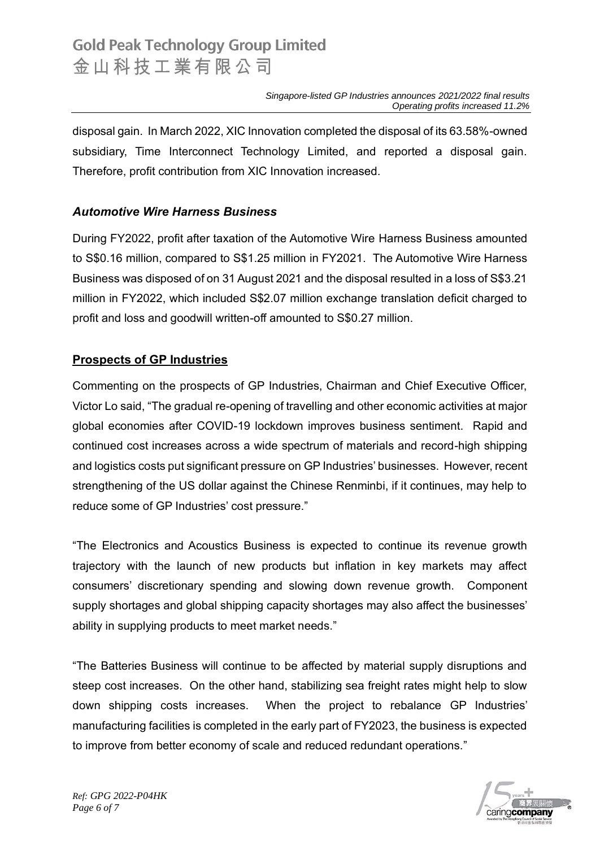disposal gain. In March 2022, XIC Innovation completed the disposal of its 63.58%-owned subsidiary, Time Interconnect Technology Limited, and reported a disposal gain. Therefore, profit contribution from XIC Innovation increased.

#### *Automotive Wire Harness Business*

During FY2022, profit after taxation of the Automotive Wire Harness Business amounted to S\$0.16 million, compared to S\$1.25 million in FY2021. The Automotive Wire Harness Business was disposed of on 31 August 2021 and the disposal resulted in a loss of S\$3.21 million in FY2022, which included S\$2.07 million exchange translation deficit charged to profit and loss and goodwill written-off amounted to S\$0.27 million.

#### **Prospects of GP Industries**

Commenting on the prospects of GP Industries, Chairman and Chief Executive Officer, Victor Lo said, "The gradual re-opening of travelling and other economic activities at major global economies after COVID-19 lockdown improves business sentiment. Rapid and continued cost increases across a wide spectrum of materials and record-high shipping and logistics costs put significant pressure on GP Industries' businesses. However, recent strengthening of the US dollar against the Chinese Renminbi, if it continues, may help to reduce some of GP Industries' cost pressure."

"The Electronics and Acoustics Business is expected to continue its revenue growth trajectory with the launch of new products but inflation in key markets may affect consumers' discretionary spending and slowing down revenue growth. Component supply shortages and global shipping capacity shortages may also affect the businesses' ability in supplying products to meet market needs."

"The Batteries Business will continue to be affected by material supply disruptions and steep cost increases. On the other hand, stabilizing sea freight rates might help to slow down shipping costs increases. When the project to rebalance GP Industries' manufacturing facilities is completed in the early part of FY2023, the business is expected to improve from better economy of scale and reduced redundant operations."